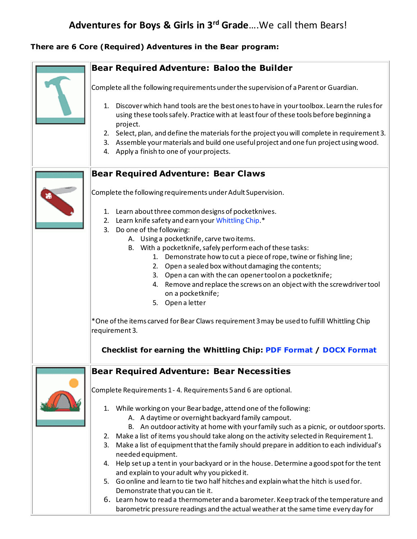## **There are 6 Core (Required) Adventures in the Bear program:**

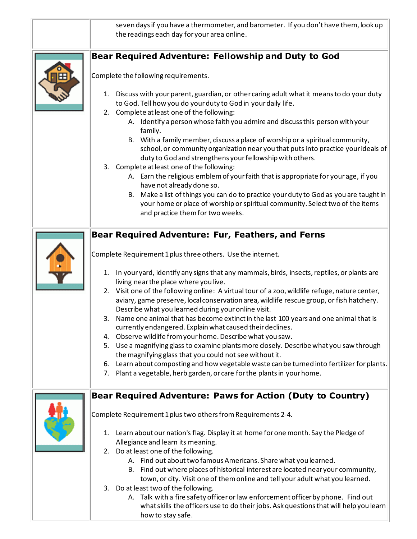| seven days if you have a thermometer, and barometer. If you don't have them, look up<br>the readings each day for your area online.                                                                                                                                                                                                                                                                                                                                                                                                                                                                                                                                                                                                                                                                                                                                                                                                                                                                                                                                            |
|--------------------------------------------------------------------------------------------------------------------------------------------------------------------------------------------------------------------------------------------------------------------------------------------------------------------------------------------------------------------------------------------------------------------------------------------------------------------------------------------------------------------------------------------------------------------------------------------------------------------------------------------------------------------------------------------------------------------------------------------------------------------------------------------------------------------------------------------------------------------------------------------------------------------------------------------------------------------------------------------------------------------------------------------------------------------------------|
| <b>Bear Required Adventure: Fellowship and Duty to God</b>                                                                                                                                                                                                                                                                                                                                                                                                                                                                                                                                                                                                                                                                                                                                                                                                                                                                                                                                                                                                                     |
| Complete the following requirements.                                                                                                                                                                                                                                                                                                                                                                                                                                                                                                                                                                                                                                                                                                                                                                                                                                                                                                                                                                                                                                           |
| Discuss with your parent, guardian, or other caring adult what it means to do your duty<br>1.<br>to God. Tell how you do your duty to God in your daily life.<br>2. Complete at least one of the following:<br>A. Identify a person whose faith you admire and discuss this person with your<br>family.<br>B. With a family member, discuss a place of worship or a spiritual community,<br>school, or community organization near you that puts into practice your ideals of<br>duty to God and strengthens your fellowship with others.<br>3. Complete at least one of the following:<br>A. Earn the religious emblem of your faith that is appropriate for your age, if you<br>have not already done so.<br>Make a list of things you can do to practice your duty to God as you are taught in<br>В.<br>your home or place of worship or spiritual community. Select two of the items<br>and practice them for two weeks.                                                                                                                                                   |
| Bear Required Adventure: Fur, Feathers, and Ferns<br>Complete Requirement 1 plus three others. Use the internet.<br>In your yard, identify any signs that any mammals, birds, insects, reptiles, or plants are<br>1.<br>living near the place where you live.<br>2. Visit one of the following online: A virtual tour of a zoo, wildlife refuge, nature center,<br>aviary, game preserve, local conservation area, wildlife rescue group, or fish hatchery.<br>Describe what you learned during your online visit.<br>Name one animal that has become extinct in the last 100 years and one animal that is<br>3.<br>currently endangered. Explain what caused their declines.<br>Observe wildlife from your home. Describe what you saw.<br>4.<br>5. Use a magnifying glass to examine plants more closely. Describe what you saw through<br>the magnifying glass that you could not see without it.<br>6. Learn about composting and how vegetable waste can be turned into fertilizer for plants.<br>7. Plant a vegetable, herb garden, or care for the plants in your home. |
| Bear Required Adventure: Paws for Action (Duty to Country)<br>Complete Requirement 1 plus two others from Requirements 2-4.<br>Learn about our nation's flag. Display it at home for one month. Say the Pledge of<br>1.<br>Allegiance and learn its meaning.<br>Do at least one of the following.<br>2.<br>A. Find out about two famous Americans. Share what you learned.<br>B. Find out where places of historical interest are located near your community,<br>town, or city. Visit one of them online and tell your adult what you learned.<br>3. Do at least two of the following.<br>A. Talk with a fire safety officer or law enforcement officer by phone. Find out<br>what skills the officers use to do their jobs. Ask questions that will help you learn<br>how to stay safe.                                                                                                                                                                                                                                                                                      |